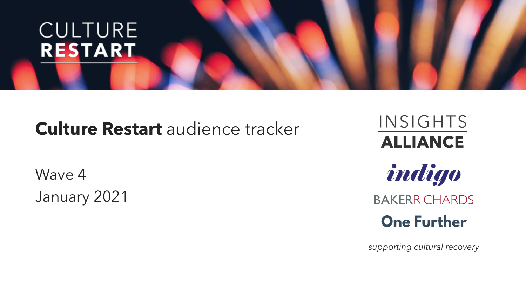

## **Culture Restart** audience tracker

Wave 4 January 2021

INSIGHTS **ALLIANCE** indigo **BAKERRICHARDS One Further** 

*supporting cultural recovery*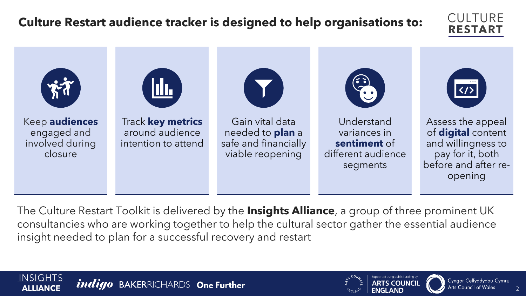### **Culture Restart audience tracker is designed to help organisations to:**

### **CULTURE RESTART**



The Culture Restart Toolkit is delivered by the **Insights Alliance**, a group of three prominent UK consultancies who are working together to help the cultural sector gather the essential audience insight needed to plan for a successful recovery and restart





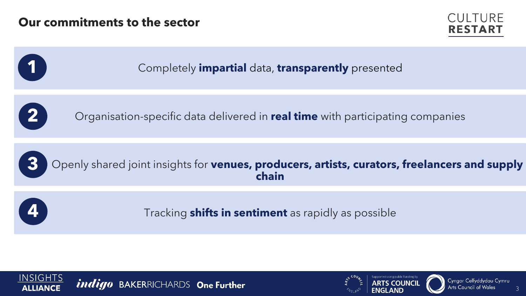### **Our commitments to the sector**









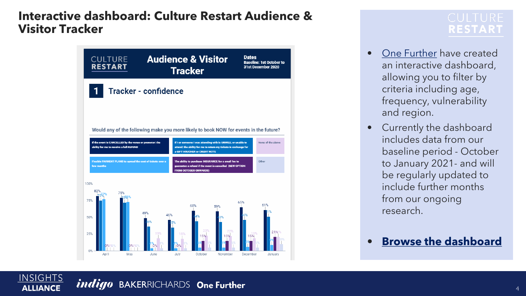### **Interactive dashboard: Culture Restart Audience & Visitor Tracker**



# **RESTART**

- [One Further](https://onefurther.com/) have created an interactive dashboard, allowing you to filter by criteria including age, frequency, vulnerability and region.
- Currently the dashboard includes data from our baseline period - October to January 2021- and will be regularly updated to include further months from our ongoing research.
- **[Browse the dashboard](https://datastudio.google.com/reporting/770c2998-785b-4c84-98de-a52f6f163ec2/page/4NOQB)**

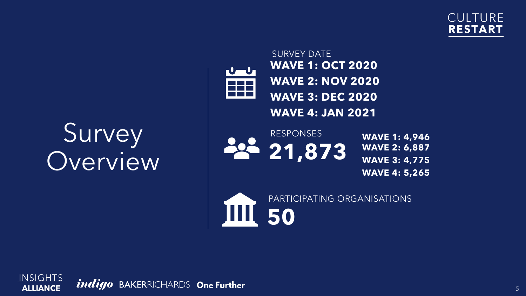

# Survey Overview **21,873**



**WAVE 1: OCT 2020 WAVE 2: NOV 2020 WAVE 3: DEC 2020 WAVE 4: JAN 2021** SURVEY DATE

RESPONSES

**WAVE 1: 4,946 WAVE 2: 6,887 WAVE 3: 4,775 WAVE 4: 5,265**

**50**

PARTICIPATING ORGANISATIONS

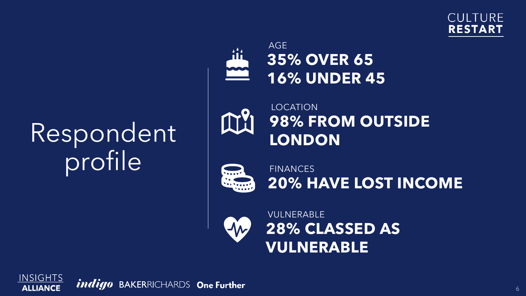### **CULTURE RESTART**

**35% OVER 65 16% UNDER 45** AGE



**98% FROM OUTSIDE LONDON** LOCATION



**20% HAVE LOST INCOME** FINANCES



**28% CLASSED AS VULNERABLE** VULNERABLE



Respondent

profile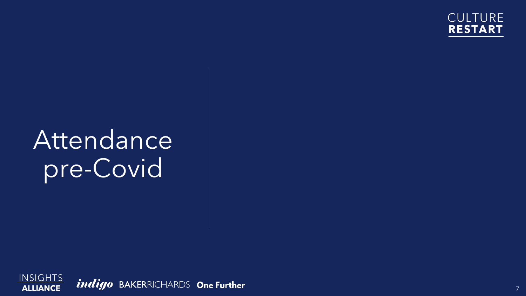

# Attendance pre-Covid

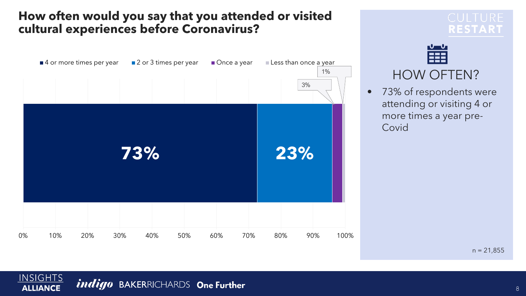### **How often would you say that you attended or visited cultural experiences before Coronavirus?**



# **RESTART**



• 73% of respondents were attending or visiting 4 or more times a year pre-Covid

 $n = 21,855$ 

#### **INSIGHTS** *indigo* BAKERRICHARDS One Further **ALLIANCE**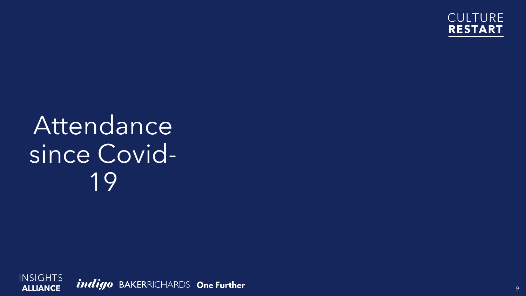

# Attendance since Covid-19



*indigo* BAKERRICHARDS One Further

9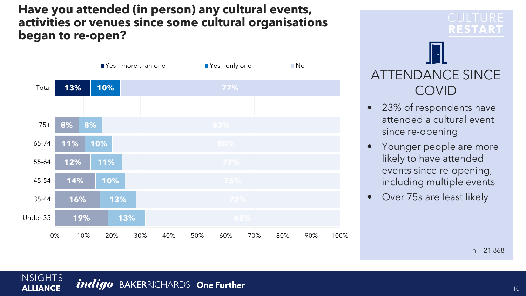### **Have you attended (in person) any cultural events, activities or venues since some cultural organisations began to re-open?**



# **RESTART**



- 23% of respondents have attended a cultural event since re-opening
- Younger people are more likely to have attended events since re-opening, including multiple events
- Over 75s are least likely

 $n = 21,868$ 

#### **INSIGHTS** *indigo* BAKERRICHARDS One Further **ALLIANCE**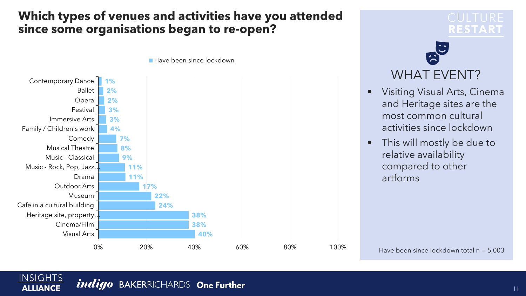### **Which types of venues and activities have you attended since some organisations began to re-open?**



**RESTART** 



- Visiting Visual Arts, Cinema and Heritage sites are the most common cultural activities since lockdown
- This will mostly be due to relative availability compared to other artforms

Have been since lockdown total  $n = 5,003$ 

#### **INSIGHTS** *indigo* BAKERRICHARDS One Further **ALLIANCE**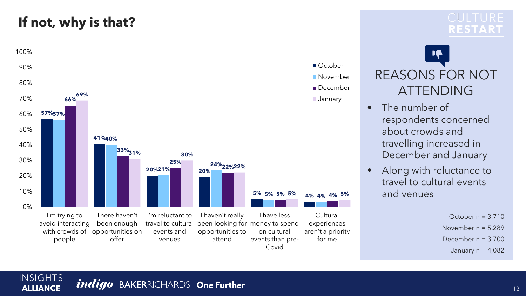## **If not, why is that?**

**INSIGHTS** 

**ALLIANCE** 



# **RESTART**



- The number of respondents concerned about crowds and travelling increased in December and January
- Along with reluctance to travel to cultural events and venues

October  $n = 3,710$ November  $n = 5,289$ December  $n = 3,700$ January  $n = 4.082$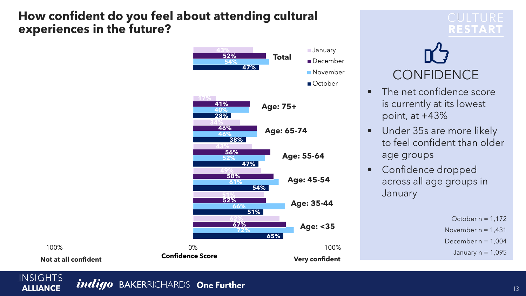### **How confident do you feel about attending cultural experiences in the future?**



**RESTART** 



- The net confidence score is currently at its lowest point, at  $+43%$
- Under 35s are more likely to feel confident than older age groups
- Confidence dropped across all age groups in **January**

October  $n = 1,172$ November  $n = 1,431$ December  $n = 1,004$ January  $n = 1,095$ 

**INSIGHTS** 

**ALLIANCE** 

*indigo* BAKERRICHARDS One Further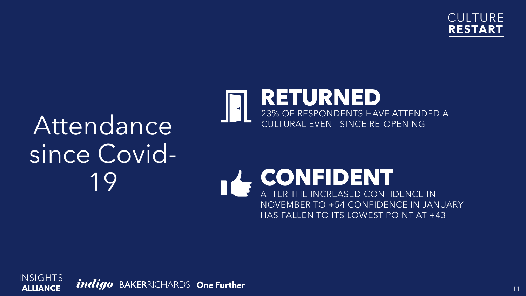**CULTURE RESTART** 

# Attendance since Covid-19



**AFTER THE INCREASED CONFIDENCE IN** NOVEMBER TO +54 CONFIDENCE IN JANUARY HAS FALLEN TO ITS LOWEST POINT AT +43



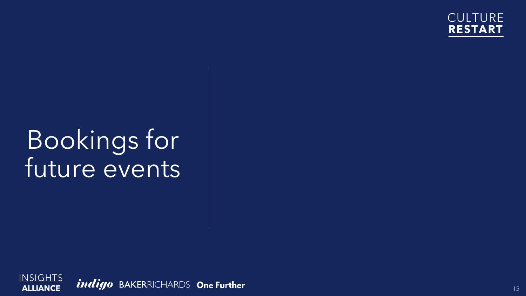

# Bookings for future events



*indigo* BAKERRICHARDS One Further

 $|5$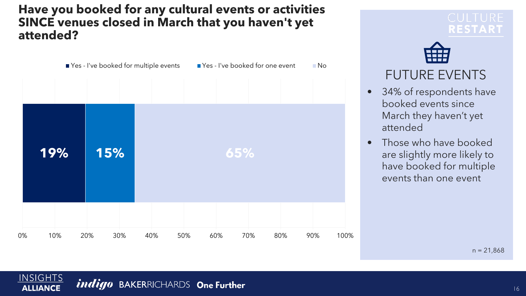### **Have you booked for any cultural events or activities SINCE venues closed in March that you haven't yet attended?**



# **RESTART**



## FUTURE EVENTS

- 34% of respondents have booked events since March they haven't yet attended
- Those who have booked are slightly more likely to have booked for multiple events than one event

 $n = 21,868$ 

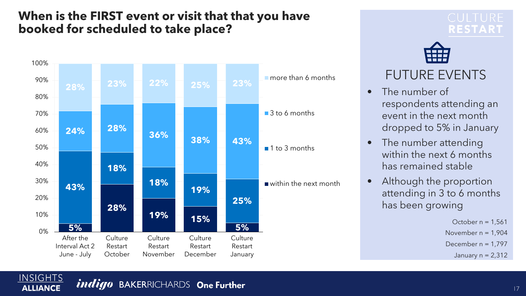### **When is the FIRST event or visit that that you have booked for scheduled to take place?**



**RESTART** 



### FUTURE EVENTS

- The number of respondents attending an event in the next month dropped to 5% in January
- The number attending within the next 6 months has remained stable
- Although the proportion attending in 3 to 6 months has been growing

October  $n = 1.561$ November  $n = 1,904$ December  $n = 1,797$ 

January  $n = 2,312$ 

#### **INSIGHTS** *indigo* BAKERRICHARDS One Further **ALLIANCE**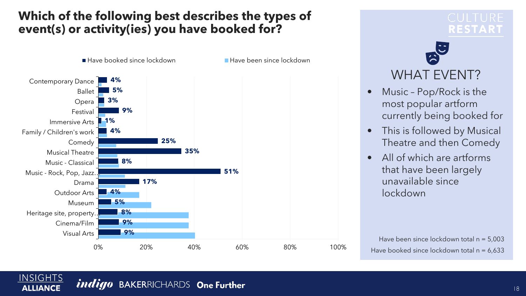### **Which of the following best describes the types of event(s) or activity(ies) you have booked for?**



# **RESTART**



### WHAT EVENT?

- Music Pop/Rock is the most popular artform currently being booked for
- This is followed by Musical Theatre and then Comedy
- All of which are artforms that have been largely unavailable since lockdown

Have been since lockdown total n = 5,003 Have booked since lockdown total  $n = 6,633$ 

**INSIGHTS** 

**ALLIANCE**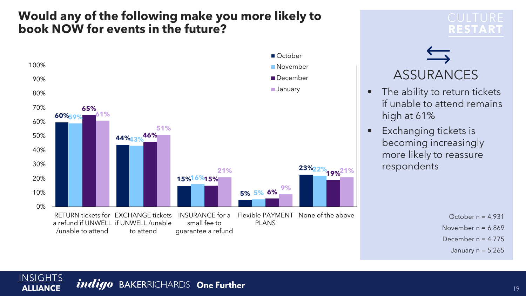### **Would any of the following make you more likely to book NOW for events in the future?**



# **RESTART**



- The ability to return tickets if unable to attend remains high at 61%
- Exchanging tickets is becoming increasingly more likely to reassure respondents

October  $n = 4,931$ November  $n = 6,869$ December  $n = 4,775$ January  $n = 5,265$ 

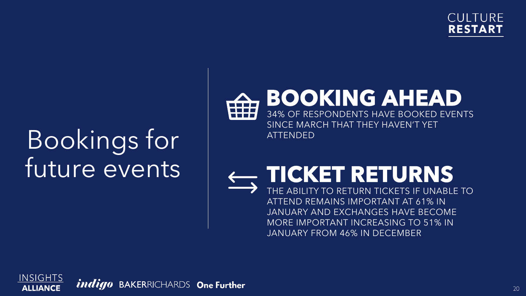**CULTURE RESTART** 

# Bookings for future events

# **BOOKING AHEAD**

34% OF RESPONDENTS HAVE BOOKED EVENTS SINCE MARCH THAT THEY HAVEN'T YET ATTENDED

# - TICKET RETURNS

THE ABILITY TO RETURN TICKETS IF UNABLE TO ATTEND REMAINS IMPORTANT AT 61% IN JANUARY AND EXCHANGES HAVE BECOME MORE IMPORTANT INCREASING TO 51% IN JANUARY FROM 46% IN DECEMBER

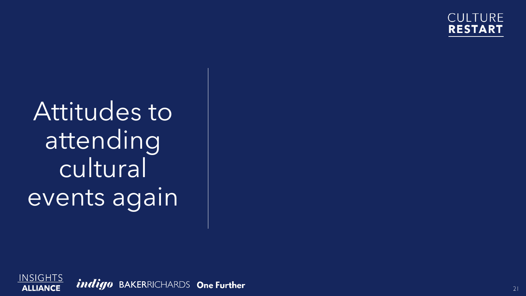**CULTURE RESTART** 

# Attitudes to attending cultural events again

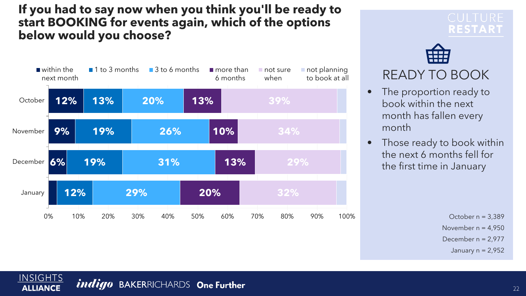### **If you had to say now when you think you'll be ready to start BOOKING for events again, which of the options below would you choose?**



# **RESTART**



## READY TO BOOK

- The proportion ready to book within the next month has fallen every month
- Those ready to book within the next 6 months fell for the first time in January

October  $n = 3,389$ November  $n = 4.950$ December  $n = 2,977$ January  $n = 2,952$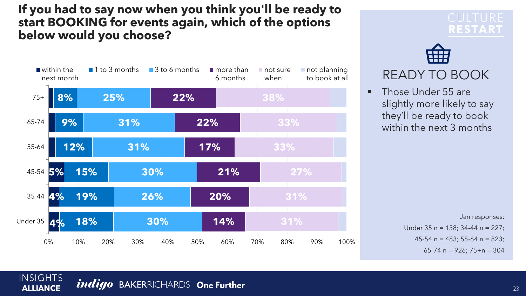**If you had to say now when you think you'll be ready to start BOOKING for events again, which of the options below would you choose?** 



# **RESTART**



### READY TO BOOK

• Those Under 55 are slightly more likely to say they'll be ready to book within the next 3 months

> Jan responses: Under 35 n = 138; 34-44 n = 227; 45-54 n = 483; 55-64 n = 823; 65-74 n = 926; 75+n = 304

**INSIGHTS** 

**ALLIANCE**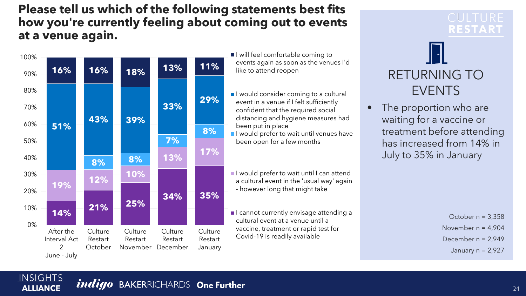### **Please tell us which of the following statements best fits how you're currently feeling about coming out to events at a venue again.**



I will feel comfortable coming to events again as soon as the venues I'd like to attend reopen

- I would consider coming to a cultural event in a venue if I felt sufficiently confident that the required social distancing and hygiene measures had been put in place
- **I** would prefer to wait until venues have been open for a few months
- I would prefer to wait until I can attend a cultural event in the 'usual way' again - however long that might take
- I cannot currently envisage attending a cultural event at a venue until a vaccine, treatment or rapid test for Covid-19 is readily available

# **RESTART**



The proportion who are waiting for a vaccine or treatment before attending has increased from 14% in July to 35% in January

> October  $n = 3,358$ November  $n = 4.904$ December  $n = 2,949$ January  $n = 2,927$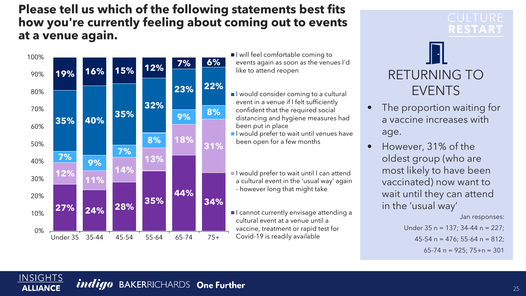### **Please tell us which of the following statements best fits how you're currently feeling about coming out to events at a venue again.**



I will feel comfortable coming to events again as soon as the venues I'd like to attend reopen

I would consider coming to a cultural event in a venue if I felt sufficiently confident that the required social distancing and hygiene measures had been put in place

**I** would prefer to wait until venues have been open for a few months

I would prefer to wait until I can attend a cultural event in the 'usual way' again - however long that might take

I cannot currently envisage attending a cultural event at a venue until a vaccine, treatment or rapid test for Covid-19 is readily available

# **RESTART**



- The proportion waiting for a vaccine increases with age.
- However, 31% of the oldest group (who are most likely to have been vaccinated) now want to wait until they can attend in the 'usual way'

Jan responses:

```
Under 35 n = 137; 34-44 n = 227; 
45-54 n = 476; 55-64 n = 812;
```
65-74 n = 925; 75+n = 301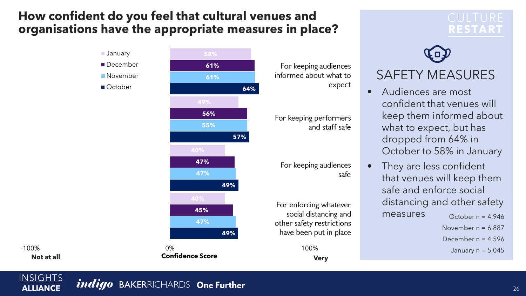### **How confident do you feel that cultural venues and organisations have the appropriate measures in place?**

# **RESTART**



### SAFETY MEASURES

- Audiences are most confident that venues will keep them informed about what to expect, but has dropped from 64% in October to 58% in January
- They are less confident that venues will keep them safe and enforce social distancing and other safety  $measures$   $October n = 4,946$ 
	- November  $n = 6.887$ December  $n = 4,596$ 
		- January  $n = 5,045$



**49%**

**47%**

**Confidence Score**

**45%**

**47%**

**47%**

**40%**

**49%**

For keeping audiences safe

expect

For enforcing whatever social distancing and other safety restrictions have been put in place

-100% 0% 100% **Not at all Very**

### *indigo* BAKERRICHARDS One Further

**INSIGHTS** 

**ALLIANCE**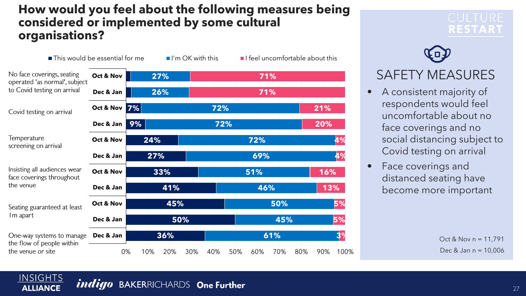### **How would you feel about the following measures being considered or implemented by some cultural organisations?**

 $\blacksquare$  This would be essential for me  $\blacksquare$  I'm OK with this  $\blacksquare$  I feel uncomfortable about this **h** face coverings, seating<br>erated 'as normal', su<br>Covid testing on arri rce<br>Ite<br>ivi ng<br>bje<br><sup>ral</sup> **Oct & Nov 27% 71%** operated 'as normal', subject **26% Dec & Jan 71% 21% 7% Oct & Nov 72%** Covid testing on arrival **Dec & Jan 9% 72% 20% Temperat** Temperature **24% Oct & Nov 72% 4% 27% 4% Dec & Jan 69% Insisting all wear face coverings throughou t the**  di<br>s tl **Oct & Nov 33% 51% 16% 41% 46% Dec & Jan 13% l** at least **Oct & Nov 45% 50% 5%** Im apart **50% 45% 5% Dec & Jan b** manage **36% 61% 3% Dec & Jan** the venue or site 0% 10% 20% 30% 40% 50% 60% 70% 80% 90% 100%

*indigo* BAKERRICHARDS One Further

**INSIGHTS** 

**ALLIANCE** 

# **RESTART**



- A consistent majority of respondents would feel uncomfortable about no face coverings and no social distancing subject to Covid testing on arrival
- Face coverings and distanced seating have become more important

Oct & Nov  $n = 11,791$ Dec & Jan n = 10,006

 $27$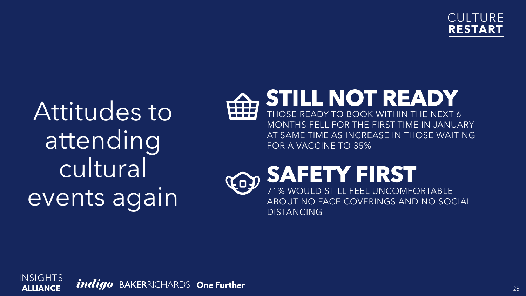**CULTURE RESTART** 

# Attitudes to attending cultural events again



STILL NOT READY

THOSE READY TO BOOK WITHIN THE NEXT 6 MONTHS FELL FOR THE FIRST TIME IN JANUARY AT SAME TIME AS INCREASE IN THOSE WAITING FOR A VACCINE TO 35%

**SAFETY FIRST** Col 71% WOULD STILL FEEL UNCOMFORTABLE ABOUT NO FACE COVERINGS AND NO SOCIAL DISTANCING

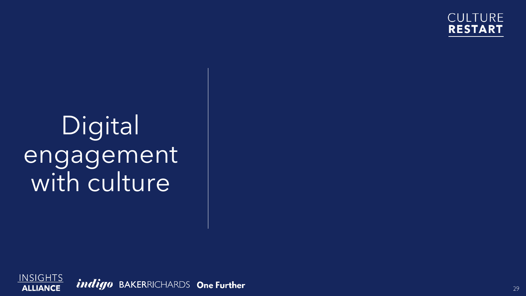

# Digital<sup>®</sup> engagement with culture



*indigo* BAKERRICHARDS One Further

29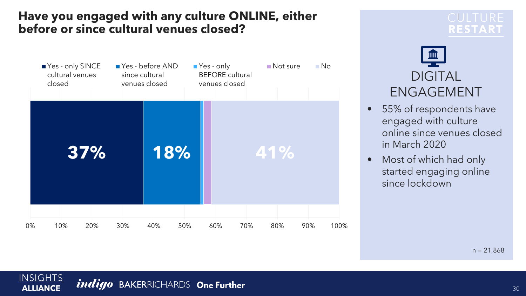### **Have you engaged with any culture ONLINE, either before or since cultural venues closed?**



# **RESTART**



- 55% of respondents have engaged with culture online since venues closed in March 2020
- Most of which had only started engaging online since lockdown

 $n = 21,868$ 

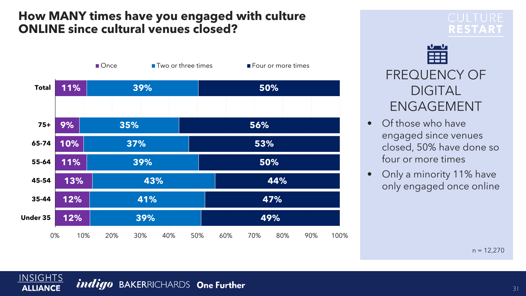### **How MANY times have you engaged with culture ONLINE since cultural venues closed?**

# **RESTART**



**Lund** 丽

FREQUENCY OF DIGITAL ENGAGEMENT

- Of those who have engaged since venues closed, 50% have done so four or more times
- Only a minority 11% have only engaged once online

 $n = 12,270$ 

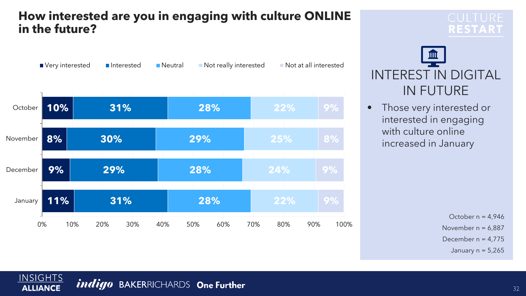### **How interested are you in engaging with culture ONLINE in the future?**



**RESTART** 



• Those very interested or interested in engaging with culture online increased in January

> October  $n = 4,946$ November  $n = 6,887$ December  $n = 4,775$ January  $n = 5,265$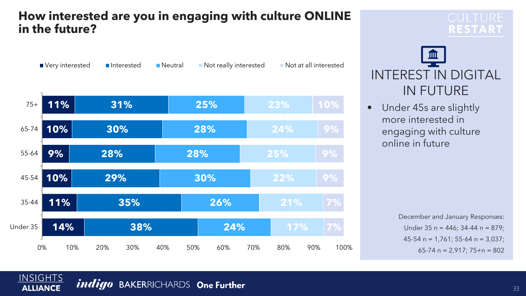### **How interested are you in engaging with culture ONLINE in the future?**

■ Very interested ■ Interested ■ Neutral ■ Not really interested ■ Not at all interested

#### **14% 11% 10% 9% 10% 11% 38% 35% 29% 28% 30% 31% 24% 26% 30% 28% 28% 25% 22% 25% 24% 23% 7% 9% 9% 9% 10%** 0% 10% 20% 30% 40% 50% 60% 70% 80% 90% 100% Under 35 35-44 45-54 55-64 65-74 75+

# **RESTART**



• Under 45s are slightly more interested in engaging with culture online in future

> December and January Responses: Under 35 n = 446; 34-44 n = 879; 45-54 n =  $1,761$ ; 55-64 n =  $3,037$ ; 65-74 n = 2,917; 75+n = 802

#### *indigo* BAKERRICHARDS One Further

**INSIGHTS** 

**ALLIANCE**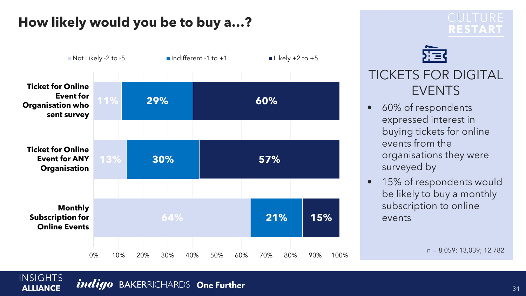## **How likely would you be to buy a…?**



# **RESTART**



TICKETS FOR DIGITAL EVENTS

- 60% of respondents expressed interest in buying tickets for online events from the organisations they were surveyed by
- 15% of respondents would be likely to buy a monthly subscription to online events

n = 8,059; 13,039; 12,782

*indigo* BAKERRICHARDS One Further

**INSIGHTS** 

**ALLIANCE**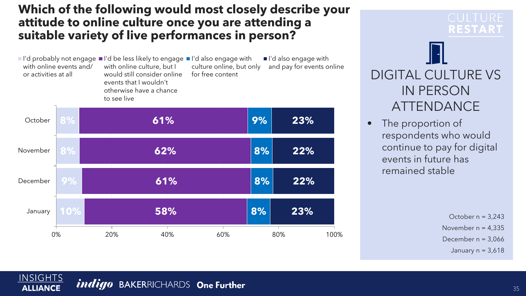### **Which of the following would most closely describe your attitude to online culture once you are attending a suitable variety of live performances in person?**

I'd probably not engage ■I'd be less likely to engage ■I'd also engage with with online events and/ or activities at all with online culture, but I would still consider online events that I wouldn't otherwise have a chance to see live culture online, but only for free content I'd also engage with and pay for events online



# **RESTART**



• The proportion of respondents who would continue to pay for digital events in future has remained stable

> October  $n = 3,243$ November  $n = 4,335$ December  $n = 3,066$ January  $n = 3,618$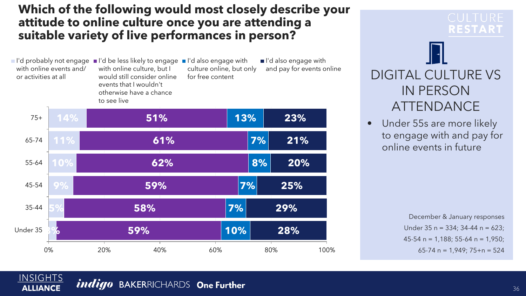### **Which of the following would most closely describe your attitude to online culture once you are attending a suitable variety of live performances in person?**

I'd probably not engage ■I'd be less likely to engage ■I'd also engage with with online events and/ or activities at all with online culture, but I would still consider online events that I wouldn't otherwise have a chance to see live for free content

**INSIGHTS** 

**ALLIANCE** 

culture online, but only

I'd also engage with and pay for events online



DIGITAL CULTURE VS IN PERSON ATTENDANCE

**RESTART** 

• Under 55s are more likely to engage with and pay for online events in future

> December & January responses Under 35 n = 334; 34-44 n = 623; 45-54 n = 1,188; 55-64 n = 1,950; 65-74 n = 1,949; 75+n = 524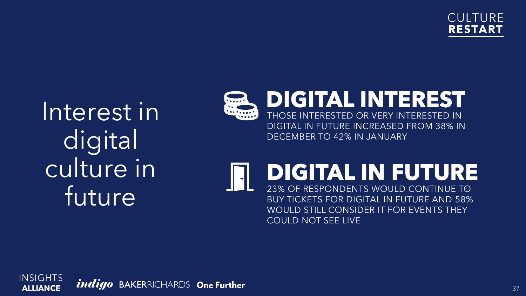**CULTURE RESTART** 

Interest in digital culture in future



DECEMBER TO 42% IN JANUARY

## **DIGITAL IN FUTURE**

23% OF RESPONDENTS WOULD CONTINUE TO BUY TICKETS FOR DIGITAL IN FUTURE AND 58% WOULD STILL CONSIDER IT FOR EVENTS THEY COULD NOT SEE LIVE

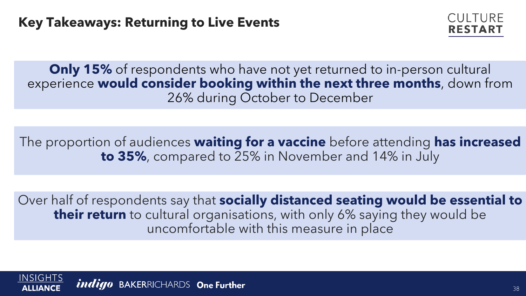**Experience would consider booking within the next three months**, down from **Only 15%** of respondents who have not yet returned to in-person cultural 26% during October to December

**to 35%**, compared to 25% in November and 14% in July RESPONSES The proportion of audiences **waiting for a vaccine** before attending **has increased** 

**their return** to cultural organisations, with only 6% saying they would be uncomfortable with this measure in place Over half of respondents say that **socially distanced seating would be essential to** uncomfortable with this measure in place

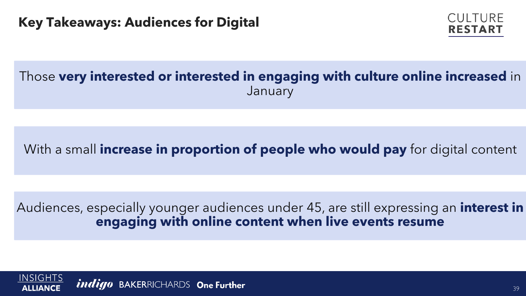

#### **11322 Transfer 2011**<br>Uary SURVEY DATE: Those **very interested or interested in engaging with culture online increased** in **January**

## With a small **increase in proportion of people who would pay** for digital content

#### **27 engaging with online content when live events resume** PARTICIPATING ORGANISATIONS Audiences, especially younger audiences under 45, are still expressing an **interest in**